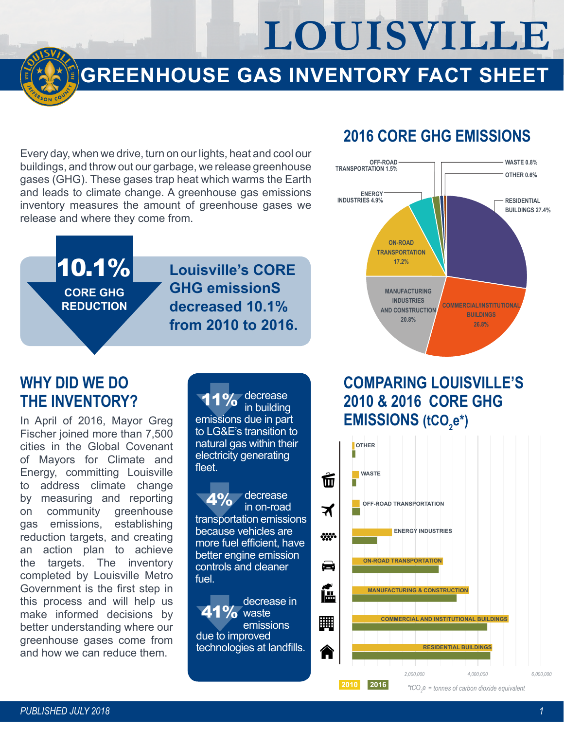**LOUISVILLE**

# **GREENHOUSE GAS INVENTORY FACT SHEET**

Every day, when we drive, turn on our lights, heat and cool our buildings, and throw out our garbage, we release greenhouse gases (GHG). These gases trap heat which warms the Earth and leads to climate change. A greenhouse gas emissions inventory measures the amount of greenhouse gases we release and where they come from.

#### **2016 CORE GHG EMISSIONS**



#### 10.1% **CORE GHG REDUCTION**

#### **Louisville's CORE GHG emissionS decreased 10.1% from 2010 to 2016.**

#### **WHY DID WE DO THE INVENTORY?**

In April of 2016, Mayor Greg Fischer joined more than 7,500 cities in the Global Covenant of Mayors for Climate and Energy, committing Louisville to address climate change by measuring and reporting on community greenhouse gas emissions, establishing reduction targets, and creating an action plan to achieve the targets. The inventory completed by Louisville Metro Government is the first step in this process and will help us make informed decisions by better understanding where our greenhouse gases come from and how we can reduce them.

11% decrease in building emissions due in part to LG&E's transition to natural gas within their electricity generating fleet.

 decrease in on-road transportation emissions because vehicles are more fuel efficient, have better engine emission controls and cleaner fuel.  $A<sub>2</sub>$ 

due to improved technologies at landfills. decrease in **41%** waste emissions

## **COMPARING LOUISVILLE'S 2010 & 2016 CORE GHG**  EMISSIONS (tCO<sub>2</sub>e\*)